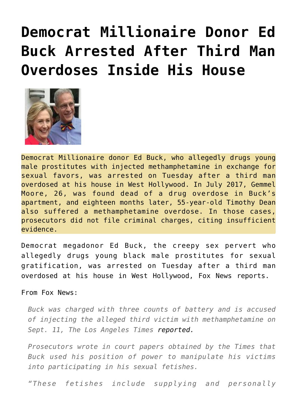## **[Democrat Millionaire Donor Ed](https://needtoknow.news/2019/09/democrat-millionaire-donor-ed-buck-arrested-after-third-man-overdoses-inside-his-house/) [Buck Arrested After Third Man](https://needtoknow.news/2019/09/democrat-millionaire-donor-ed-buck-arrested-after-third-man-overdoses-inside-his-house/) [Overdoses Inside His House](https://needtoknow.news/2019/09/democrat-millionaire-donor-ed-buck-arrested-after-third-man-overdoses-inside-his-house/)**



Democrat Millionaire donor Ed Buck, who allegedly drugs young male prostitutes with injected methamphetamine in exchange for sexual favors, was arrested on Tuesday after a third man overdosed at his house in West Hollywood. In July 2017, Gemmel Moore, 26, was found dead of a drug overdose in Buck's apartment, and eighteen months later, 55-year-old Timothy Dean also suffered a methamphetamine overdose. In those cases, prosecutors did not file criminal charges, citing insufficient evidence.

Democrat megadonor Ed Buck, [the creepy sex pervert who](http://www.informationliberation.com/?id=59648) [allegedly drugs young black male prostitutes for sexual](http://www.informationliberation.com/?id=59648) [gratification](http://www.informationliberation.com/?id=59648), was arrested on Tuesday after a third man overdosed at his house in West Hollywood, Fox News reports.

From [Fox News](https://www.foxnews.com/us/major-democratic-donor-ed-buck-arrested-charged-with-running-drug-den):

*Buck was charged with three counts of battery and is accused of injecting the alleged third victim with methamphetamine on Sept. 11, The Los Angeles Times [reported.](https://www.latimes.com/california/story/2019-09-17/ed-buck-arrested-charged-with-drug-house)*

*Prosecutors wrote in court papers obtained by the Times that Buck used his position of power to manipulate his victims into participating in his sexual fetishes.*

*"These fetishes include supplying and personally*